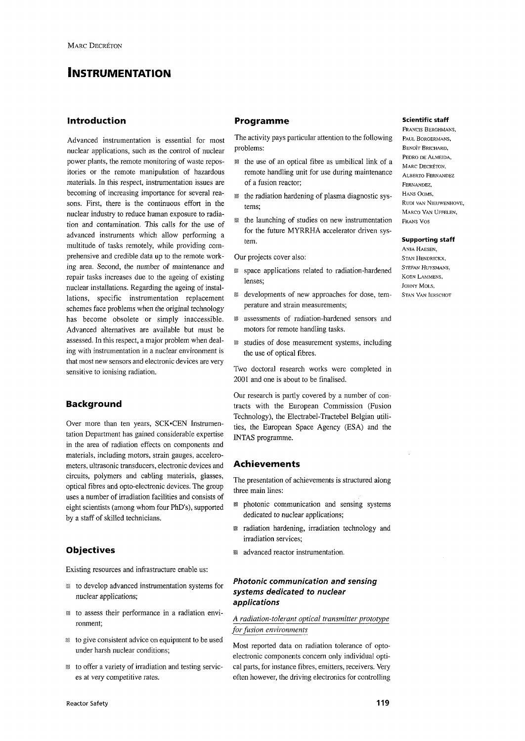# **INSTRUMENTATION**

# **Introduction**

Advanced instrumentation is essential for most nuclear applications, such as the control of nuclear power plants, the remote monitoring of waste repositories or the remote manipulation of hazardous materials. In this respect, instrumentation issues are becoming of increasing importance for several reasons. First, there is the continuous effort in the nuclear industry to reduce human exposure to radiation and contamination. This calls for the use of advanced instruments which allow performing a multitude of tasks remotely, while providing comprehensive and credible data up to the remote working area. Second, the number of maintenance and repair tasks increases due to the ageing of existing nuclear installations. Regarding the ageing of installations, specific instrumentation replacement schemes face problems when the original technology has become obsolete or simply inaccessible. Advanced alternatives are available but must be assessed. In this respect, a major problem when dealing with instrumentation in a nuclear environment is that most new sensors and electronic devices are very sensitive to ionising radiation.

# **Background**

Over more than ten years, SCK-CEN Instrumentation Department has gained considerable expertise in the area of radiation effects on components and materials, including motors, strain gauges, accelerometers, ultrasonic transducers, electronic devices and circuits, polymers and cabling materials, glasses, optical fibres and opto-electronic devices. The group uses a number of irradiation facilities and consists of eight scientists (among whom four PhD's), supported by a staff of skilled technicians.

## **Objectives**

Existing resources and infrastructure enable us:

- ® to develop advanced instrumentation systems for nuclear applications;
- $\mathbb N$  to assess their performance in a radiation environment;
- B to give consistent advice on equipment to be used under harsh nuclear conditions;
- *m* to offer a variety of irradiation and testing services at very competitive rates.

## **Programme**

The activity pays particular attention to the following problems:

- *m* the use of an optical fibre as umbilical link of a remote handling unit for use during maintenance of a fusion reactor;
- §§ the radiation hardening of plasma diagnostic systems;
- the launching of studies on new instrumentation for the future MYRRHA accelerator driven system.

Our projects cover also:

- **B space applications related to radiation-hardened** lenses;
- *n* developments of new approaches for dose, temperature and strain measurements;
- *n* assessments of radiation-hardened sensors and motors for remote handling tasks.
- $%$  studies of dose measurement systems, including the use of optical fibres.

Two doctoral research works were completed in 2001 and one is about to be finalised.

Our research is partly covered by a number of contracts with the European Commission (Fusion Technology), the Electrabel-Tractebel Belgian utilities, the European Space Agency (ESA) and the INTAS programme.

## **Achievements**

The presentation of achievements is structured along three main lines:

- photonic communication and sensing systems dedicated to nuclear applications;
- B radiation hardening, irradiation technology and irradiation services;
- advanced reactor instrumentation.

## **Photonic communication and sensing systems dedicated to nuclear applications**

# *A radiation-tolerant optical transmitter prototype for fusion environments*

Most reported data on radiation tolerance of optoelectronic components concern only individual optical parts, for instance fibres, emitters, receivers. Very often however, the driving electronics for controlling

# **Scientific staff**

FRANCIS BERGHMANS, PAUL BORGERMANS, BENOir BRICHARD, PEDRO DE ALMEIDA, MARC DECRÉTON. ALBERTO FERNANDEZ FERNANDEZ, HANS OOMS, RUDI VAN NlEUWENHOVE, MARCO VAN UFFELEN, FRANS Vos

#### **Supporting staff**

ANJA HAESEN, STAN HENDRICKX, STEFAN HUYSMANS, KOEN LAMMENS, JOHNY MOLS, STAN VAN IERSCHOT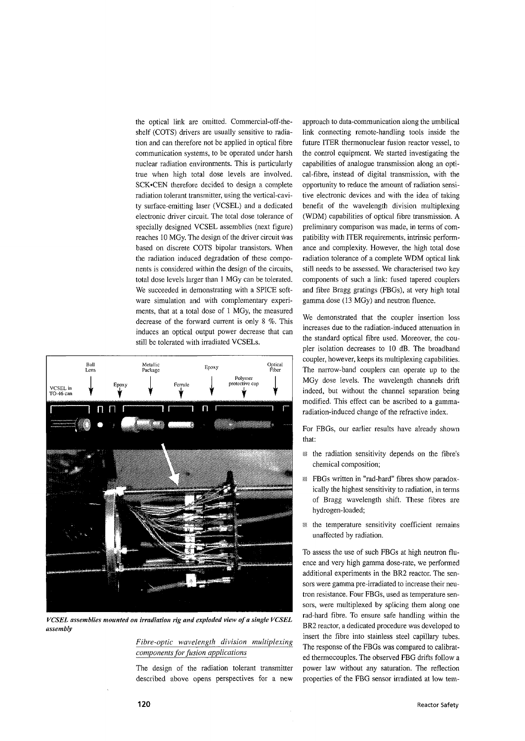the optical link are omitted. Commercial-off-theshelf (COTS) drivers are usually sensitive to radiation and can therefore not be applied in optical fibre communication systems, to be operated under harsh nuclear radiation environments. This is particularly true when high total dose levels are involved. SCK«CEN therefore decided to design a complete radiation tolerant transmitter, using the vertical-cavity surface-emitting laser (VCSEL) and a dedicated electronic driver circuit. The total dose tolerance of specially designed VCSEL assemblies (next figure) reaches 10 MGy. The design of the driver circuit was based on discrete COTS bipolar transistors. When the radiation induced degradation of these components is considered within the design of the circuits, total dose levels larger than 1 MGy can be tolerated. We succeeded in demonstrating with a SPICE software simulation and with complementary experiments, that at a total dose of 1 MGy, the measured decrease of the forward current is only 8 %. This induces an optical output power decrease that can still be tolerated with irradiated VCSELs.



*VCSEL assemblies mounted on irradiation rig and exploded view of a single VCSEL assembly*

## *Fibre-optic wavelength division multiplexing components for fusion applications*

The design of the radiation tolerant transmitter described above opens perspectives for a new

approach to data-communication along the umbilical link connecting remote-handling tools inside the future ITER thermonuclear fusion reactor vessel, to the control equipment. We started investigating the capabilities of analogue transmission along an optical-fibre, instead of digital transmission, with the opportunity to reduce the amount of radiation sensitive electronic devices and with the idea of taking benefit of the wavelength division multiplexing (WDM) capabilities of optical fibre transmission. A preliminary comparison was made, in terms of compatibility with ITER requirements, intrinsic performance and complexity. However, the high total dose radiation tolerance of a complete WDM optical link still needs to be assessed. We characterised two key components of such a link: fused tapered couplers and fibre Bragg gratings (FBGs), at very high total gamma dose (13 MGy) and neutron fluence.

We demonstrated that the coupler insertion loss increases due to the radiation-induced attenuation in the standard optical fibre used. Moreover, the coupler isolation decreases to 10 dB. The broadband coupler, however, keeps its multiplexing capabilities. The narrow-band couplers can operate up to the MGy dose levels. The wavelength channels drift indeed, but without the channel separation being modified. This effect can be ascribed to a gammaradiation-induced change of the refractive index.

For FBGs, our earlier results have already shown that:

- 8 the radiation sensitivity depends on the fibre's chemical composition;
- **BBGs** written in "rad-hard" fibres show paradoxically the highest sensitivity to radiation, in terms of Bragg wavelength shift. These fibres are hydrogen-loaded;
- *m* the temperature sensitivity coefficient remains unaffected by radiation.

To assess the use of such FBGs at high neutron fluence and very high gamma dose-rate, we performed additional experiments in the BR2 reactor. The sensors were gamma pre-irradiated to increase their neutron resistance. Four FBGs, used as temperature sensors, were multiplexed by splicing them along one rad-hard fibre. To ensure safe handling within the BR2 reactor, a dedicated procedure was developed to insert the fibre into stainless steel capillary tubes. The response of the FBGs was compared to calibrated thermocouples. The observed FBG drifts follow a power law without any saturation. The reflection properties of the FBG sensor irradiated at low tem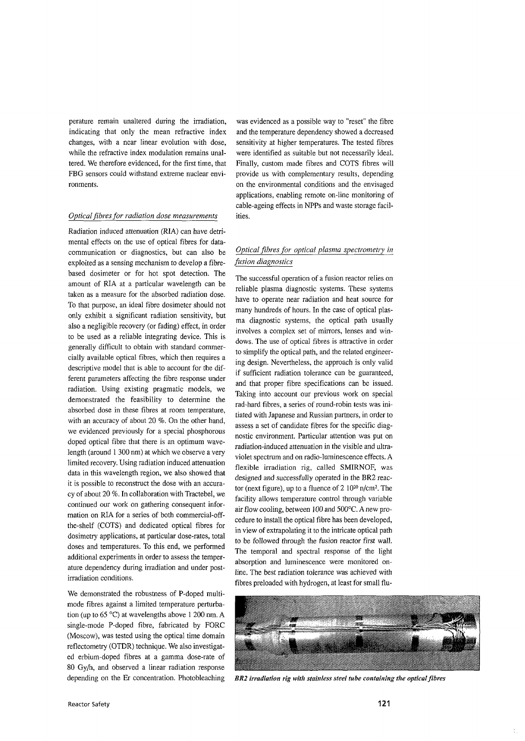perature remain unaltered during the irradiation, indicating that only the mean refractive index changes, with a near linear evolution with dose, while the refractive index modulation remains unaltered. We therefore evidenced, for the first time, that FBG sensors could withstand extreme nuclear environments.

## *Optical fibres for radiation dose measurements*

Radiation induced attenuation (RIA) can have detrimental effects on the use of optical fibres for datacommunication or diagnostics, but can also be exploited as a sensing mechanism to develop a fibrebased dosimeter or for hot spot detection. The amount of RIA at a particular wavelength can be taken as a measure for the absorbed radiation dose. To that purpose, an ideal fibre dosimeter should not only exhibit a significant radiation sensitivity, but also a negligible recovery (or fading) effect, in order to be used as a reliable integrating device. This is generally difficult to obtain with standard commercially available optical fibres, which then requires a descriptive model that is able to account for the different parameters affecting the fibre response under radiation. Using existing pragmatic models, we demonstrated the feasibility to determine the absorbed dose in these fibres at room temperature, with an accuracy of about 20 %. On the other hand, we evidenced previously for a special phosphorous doped optical fibre that there is an optimum wavelength (around 1 300 nm) at which we observe a very limited recovery. Using radiation induced attenuation data in this wavelength region, we also showed that it is possible to reconstruct the dose with an accuracy of about 20 %. In collaboration with Tractebel, we continued our work on gathering consequent information on RIA for a series of both commercial-offthe-shelf (COTS) and dedicated optical fibres for dosimetry applications, at particular dose-rates, total doses and temperatures. To this end, we performed additional experiments in order to assess the temperature dependency during irradiation and under postirradiation conditions.

We demonstrated the robustness of P-doped multimode fibres against a limited temperature perturbation (up to 65 °C) at wavelengths above 1 200 nm. A single-mode P-doped fibre, fabricated by FORC (Moscow), was tested using the optical time domain reflectometry (OTDR) technique. We also investigated erbium-doped fibres at a gamma dose-rate of 80 Gy/h, and observed a linear radiation response depending on the Er concentration. Photobleaching

was evidenced as a possible way to "reset" the fibre and the temperature dependency showed a decreased sensitivity at higher temperatures. The tested fibres were identified as suitable but not necessarily ideal. Finally, custom made fibres and COTS fibres will provide us with complementary results, depending on the environmental conditions and the envisaged applications, enabling remote on-line monitoring of cable-ageing effects in NPPs and waste storage facilities.

# *Optical fibres for optical plasma spectrometry in fusion diagnostics*

The successful operation of a fusion reactor relies on reliable plasma diagnostic systems. These systems have to operate near radiation and heat source for many hundreds of hours. In the case of optical plasma diagnostic systems, the optical path usually involves a complex set of mirrors, lenses and windows. The use of optical fibres is attractive in order to simplify the optical path, and the related engineering design. Nevertheless, the approach is only valid if sufficient radiation tolerance can be guaranteed, and that proper fibre specifications can be issued. Taking into account our previous work on special rad-hard fibres, a series of round-robin tests was initiated with Japanese and Russian partners, in order to assess a set of candidate fibres for the specific diagnostic environment. Particular attention was put on radiation-induced attenuation in the visible and ultraviolet spectrum and on radio-luminescence effects. A flexible irradiation rig, called SMIRNOF, was designed and successfully operated in the BR2 reactor (next figure), up to a fluence of  $2 \frac{10^{20}}{20}$  n/cm<sup>2</sup>. The facility allows temperature control through variable air flow cooling, between 100 and 500°C. A new procedure to install the optical fibre has been developed, in view of extrapolating it to the intricate optical path to be followed through the fusion reactor first wal!. The temporal and spectral response of the light absorption and luminescence were monitored online. The best radiation tolerance was achieved with fibres preloaded with hydrogen, at least for small flu-



*BR2 irradiation rig with stainless steel tube containing the optical fibres*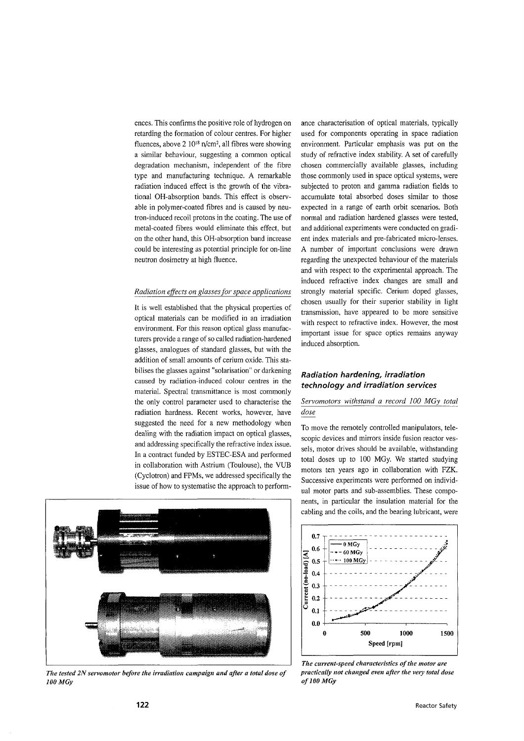ences. This confirms the positive role of hydrogen on retarding the formation of colour centres. For higher fluences, above 2 10<sup>18</sup> n/cm<sup>2</sup>, all fibres were showing a similar behaviour, suggesting a common optical degradation mechanism, independent of the fibre type and manufacturing technique. A remarkable radiation induced effect is the growth of the vibrational OH-absorption bands. This effect is observable in polymer-coated fibres and is caused by neutron-induced recoil protons in the coating. The use of metal-coated fibres would eliminate this effect, but on the other hand, this OH-absorption band increase could be interesting as potential principle for on-line neutron dosimetry at high fluence.

#### *Radiation effects on glasses for space applications*

It is well established that the physical properties of optical materials can be modified in an irradiation environment. For this reason optical glass manufacturers provide a range of so called radiation-hardened glasses, analogues of standard glasses, but with the addition of small amounts of cerium oxide. This stabilises the glasses against "solarisation" or darkening caused by radiation-induced colour centres in the material. Spectral transmittance is most commonly the only control parameter used to characterise the radiation hardness. Recent works, however, have suggested the need for a new methodology when dealing with the radiation impact on optical glasses, and addressing specifically the refractive index issue. In a contract funded by ESTEC-ESA and performed in collaboration with Astrium (Toulouse), the VUB (Cyclotron) and FPMs, we addressed specifically the issue of how to systematise the approach to perform-



*The tested 2N servomotor before the irradiation campaign and after a total dose of WO MGy*

ance characterisation of optical materials, typically used for components operating in space radiation environment. Particular emphasis was put on the study of refractive index stability. A set of carefully chosen commercially available glasses, including those commonly used in space optical systems, were subjected to proton and gamma radiation fields to accumulate total absorbed doses similar to those expected in a range of earth orbit scenarios. Both normal and radiation hardened glasses were tested, and additional experiments were conducted on gradient index materials and pre-fabricated micro-lenses. A number of important conclusions were drawn regarding the unexpected behaviour of the materials and with respect to the experimental approach. The induced refractive index changes are small and strongly material specific. Cerium doped glasses, chosen usually for their superior stability in light transmission, have appeared to be more sensitive with respect to refractive index. However, the most important issue for space optics remains anyway induced absorption.

# *Radiation hardening, irradiation technology and irradiation services*

## *Servomotors withstand a record 100 MGy total dose*

To move the remotely controlled manipulators, telescopic devices and mirrors inside fusion reactor vessels, motor drives should be available, withstanding total doses up to 100 MGy. We started studying motors ten years ago in collaboration with FZK. Successive experiments were performed on individual motor parts and sub-assemblies. These components, in particular the insulation material for the cabling and the coils, and the bearing lubricant, were



*The current-speed characteristics of the motor are practically not changed even after the very total dose of 100 MGy*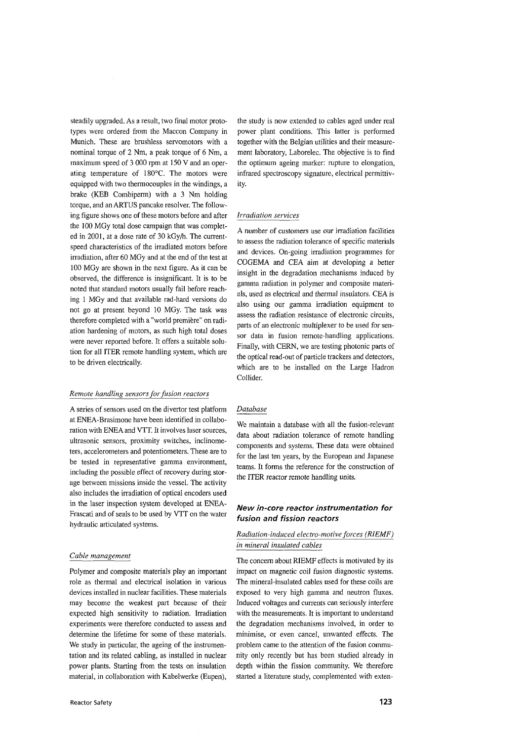steadily upgraded. As a result, two final motor prototypes were ordered from the Maccon Company in Munich. These are brushless servomotors with a nominal torque of 2 Nm, a peak torque of 6 Nm, a maximum speed of 3 000 rpm at 150 V and an operating temperature of 180°C. The motors were equipped with two thermocouples in the windings, a brake (KEB Combiperm) with a 3 Nm holding torque, and an ARTUS pancake resolver. The following figure shows one of these motors before and after the 100 MGy total dose campaign that was completed in 2001, at a dose rate of 30 kGy/h. The currentspeed characteristics of the irradiated motors before irradiation, after 60 MGy and at the end of the test at 100 MGy are shown in the next figure. As it can be observed, the difference is insignificant. It is to be noted that standard motors usually fail before reaching 1 MGy and that available rad-hard versions do not go at present beyond 10 MGy. The task was therefore completed with a "world premiere" on radiation hardening of motors, as such high total doses were never reported before. It offers a suitable solution for all ITER remote handling system, which are to be driven electrically.

#### *Remote handling sensors for fusion reactors*

*A* series of sensors used on the divertor test platform at ENEA-Brasimone have been identified in collaboration with ENEA and VTT. It involves laser sources, ultrasonic sensors, proximity switches, inclinometers, accelerometers and potentiometers. These are to be tested in representative gamma environment, including the possible effect of recovery during storage between missions inside the vessel. The activity also includes the irradiation of optical encoders used in the laser inspection system developed at ENEA-Frascati and of seals to be used by VTT on the water hydraulic articulated systems.

#### *Cable management*

Polymer and composite materials play an important role as thermal and electrical isolation in various devices installed in nuclear facilities. These materials may become the weakest part because of their expected high sensitivity to radiation. Irradiation experiments were therefore conducted to assess and determine the lifetime for some of these materials. We study in particular, the ageing of the instrumentation and its related cabling, as installed in nuclear power plants. Starting from the tests on insulation material, in collaboration with Kabelwerke (Eupen),

the study is now extended to cables aged under real power plant conditions. This latter is performed together with the Belgian utilities and their measurement laboratory, Laborelec. The objective is to find the optimum ageing marker: rupture to elongation, infrared spectroscopy signature, electrical permittivity.

## *Irradiation services*

*A* number of customers use our irradiation facilities to assess the radiation tolerance of specific materials and devices. On-going irradiation programmes for COGEMA and CEA aim at developing a better insight in the degradation mechanisms induced by gamma radiation in polymer and composite materials, used as electrical and thermal insulators. CEA is also using our gamma irradiation equipment to assess the radiation resistance of electronic circuits, parts of an electronic multiplexer to be used for sensor data in fusion remote-handling applications. Finally, with CERN, we are testing photonic parts of the optical read-out of particle trackers and detectors, which are to be installed on the Large Hadron Collider.

## *Database*

We maintain a database with all the fusion-relevant data about radiation tolerance of remote handling components and systems. These data were obtained for the last ten years, by the European and Japanese teams. It forms the reference for the construction of the ITER reactor remote handling units.

## **New in-core reactor instrumentation for fusion and fission reactors**

# *Radiation-induced electro-motive forces (RIEMF) in mineral insulated cables*

The concern about RIEMF effects is motivated by its impact on magnetic coil fusion diagnostic systems. The mineral-insulated cables used for these coils are exposed to very high gamma and neutron fluxes. Induced voltages and currents can seriously interfere with the measurements. It is important to understand the degradation mechanisms involved, in order to minimise, or even cancel, unwanted effects. The problem came to the attention of the fusion community only recently but has been studied already in depth within the fission community. We therefore started a literature study, complemented with exten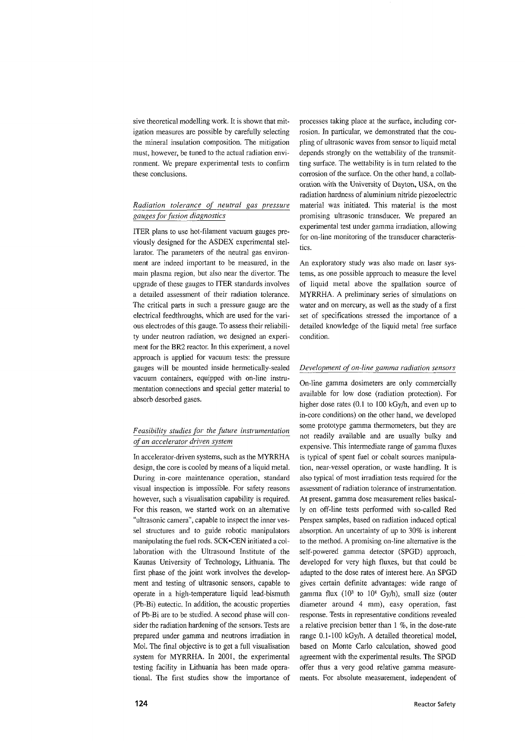sive theoretical modelling work. It is shown that mitigation measures are possible by carefully selecting the mineral insulation composition. The mitigation must, however, be tuned to the actual radiation environment. We prepare experimental tests to confirm these conclusions.

## *Radiation tolerance of neutral gas pressure gauges for fusion diagnostics*

ITER plans to use hot-filament vacuum gauges previously designed for the ASDEX experimental stellarator. The parameters of the neutral gas environment are indeed important to be measured, in the main plasma region, but also near the divertor. The upgrade of these gauges to ITER standards involves a detailed assessment of their radiation tolerance. The critical parts in such a pressure gauge are the electrical feedthroughs, which are used for the various electrodes of this gauge. To assess their reliability under neutron radiation, we designed an experiment for the BR2 reactor. In this experiment, a novel approach is applied for vacuum tests: the pressure gauges will be mounted inside hermetically-sealed vacuum containers, equipped with on-line instrumentation connections and special getter material to absorb desorbed gases.

# *Feasibility studies for the future instrumentation of an accelerator driven system*

In accelerator-driven systems, such as the MYRRHA design, the core is cooled by means of a liquid metal. During in-core maintenance operation, standard visual inspection is impossible. For safety reasons however, such a visualisation capability is required. For this reason, we started work on an alternative "ultrasonic camera", capable to inspect the inner vessel structures and to guide robotic manipulators manipulating the fuel rods. SCK«CEN initiated a collaboration with the Ultrasound Institute of the Kaunas University of Technology, Lithuania. The first phase of the joint work involves the development and testing of ultrasonic sensors, capable to operate in a high-temperature liquid lead-bismuth (Pb-Bi) eutectic. In addition, the acoustic properties of Pb-Bi are to be studied. A second phase will consider the radiation hardening of the sensors. Tests are prepared under gamma and neutrons irradiation in Mol. The final objective is to get a full visualisation system for MYRRHA. In 2001, the experimental testing facility in Lithuania has been made operational. The first studies show the importance of processes taking place at the surface, including corrosion. In particular, we demonstrated that the coupling of ultrasonic waves from sensor to liquid metal depends strongly on the wettability of the transmitting surface. The wettability is in turn related to the corrosion of the surface. On the other hand, a collaboration with the University of Dayton, USA, on the radiation hardness of aluminium nitride piezoelectric material was initiated. This material is the most promising ultrasonic transducer. We prepared an experimental test under gamma irradiation, allowing for on-line monitoring of the transducer characteristics.

An exploratory study was also made on laser systems, as one possible approach to measure the level of liquid metal above the spallation source of MYRRHA. A preliminary series of simulations on water and on mercury, as well as the study of a first set of specifications stressed the importance of a detailed knowledge of the liquid metal free surface condition.

## *Development of on-line gamma radiation sensors*

On-line gamma dosimeters are only commercially available for low dose (radiation protection). For higher dose rates (0.1 to 100 kGy/h, and even up to in-core conditions) on the other hand, we developed some prototype gamma thermometers, but they are not readily available and are usually bulky and expensive. This intermediate range of gamma fluxes is typical of spent fuel or cobalt sources manipulation, near-vessel operation, or waste handling. It is also typical of most irradiation tests required for the assessment of radiation tolerance of instrumentation. At present, gamma dose measurement relies basically on off-line tests performed with so-called Red Perspex samples, based on radiation induced optical absorption. An uncertainty of up to 30% is inherent to the method. A promising on-line alternative is the self-powered gamma detector (SPGD) approach, developed for very high fluxes, but that could be adapted to the dose rates of interest here. An SPGD gives certain definite advantages: wide range of gamma flux  $(10^3 \text{ to } 10^8 \text{ Gy/h})$ , small size (outer diameter around 4 mm), easy operation, fast response. Tests in representative conditions revealed a relative precision better than 1 %, in the dose-rate range 0.1-100 kGy/h. A detailed theoretical model, based on Monte Carlo calculation, showed good agreement with the experimental results. The SPGD offer thus a very good relative gamma measurements. For absolute measurement, independent of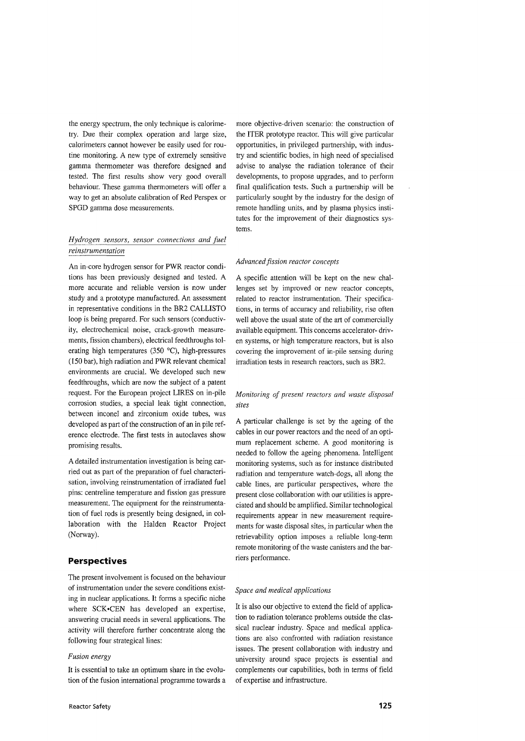the energy spectrum, the only technique is calorimetry. Due their complex operation and large size, calorimeters cannot however be easily used for routine monitoring. A new type of extremely sensitive gamma thermometer was therefore designed and tested. The first results show very good overall behaviour. These gamma thermometers will offer a way to get an absolute calibration of Red Perspex or SPGD gamma dose measurements.

## *Hydrogen sensors, sensor connections and fuel reinstrumentation*

An in-core hydrogen sensor for PWR reactor conditions has been previously designed and tested. A more accurate and reliable version is now under study and a prototype manufactured. An assessment in representative conditions in the BR2 CALLISTO loop is being prepared. For such sensors (conductivity, electrochemical noise, crack-growth measurements, fission chambers), electrical feedthroughs tolerating high temperatures (350 °C), high-pressures (150 bar), high radiation and PWR relevant chemical environments are crucial. We developed such new feedthroughs, which are now the subject of a patent request. For the European project LIRES on in-pile corrosion studies, a special leak tight connection, between inconel and zirconium oxide tubes, was developed as part of the construction of an in pile reference electrode. The first tests in autoclaves show promising results.

A detailed instrumentation investigation is being carried out as part of the preparation of fuel characterisation, involving reinstrumentation of irradiated fuel pins: centreline temperature and fission gas pressure measurement. The equipment for the reinstrumentation of fuel rods is presently being designed, in collaboration with the Halden Reactor Project (Norway).

## **Perspectives**

The present involvement is focused on the behaviour of instrumentation under the severe conditions existing in nuclear applications. It forms a specific niche where SCK.CEN has developed an expertise, answering crucial needs in several applications. The activity will therefore further concentrate along the following four strategical lines:

#### *Fusion energy*

It is essential to take an optimum share in the evolution of the fusion international programme towards a

more objective-driven scenario: the construction of the ITER prototype reactor. This will give particular opportunities, in privileged partnership, with industry and scientific bodies, in high need of specialised advise to analyse the radiation tolerance of their developments, to propose upgrades, and to perform final qualification tests. Such a partnership will be particularly sought by the industry for the design of remote handling units, and by plasma physics institutes for the improvement of their diagnostics systems.

#### *Advanced fission reactor concepts*

A specific attention will be kept on the new challenges set by improved or new reactor concepts, related to reactor instrumentation. Their specifications, in terms of accuracy and reliability, rise often well above the usual state of the art of commercially available equipment. This concerns accelerator- driven systems, or high temperature reactors, but is also covering the improvement of in-pile sensing during irradiation tests in research reactors, such as BR2.

## *Monitoring of present reactors and waste disposal sites*

A particular challenge is set by the ageing of the cables in our power reactors and the need of an optimum replacement scheme. A good monitoring is needed to follow the ageing phenomena. Intelligent monitoring systems, such as for instance distributed radiation and temperature watch-dogs, all along the cable lines, are particular perspectives, where the present close collaboration with our utilities is appreciated and should be amplified. Similar technological requirements appear in new measurement requirements for waste disposal sites, in particular when the retrievability option imposes a reliable long-term remote monitoring of the waste canisters and the barriers performance.

#### *Space and medical applications*

It is also our objective to extend the field of application to radiation tolerance problems outside the classical nuclear industry. Space and medical applications are also confronted with radiation resistance issues. The present collaboration with industry and university around space projects is essential and complements our capabilities, both in terms of field of expertise and infrastructure.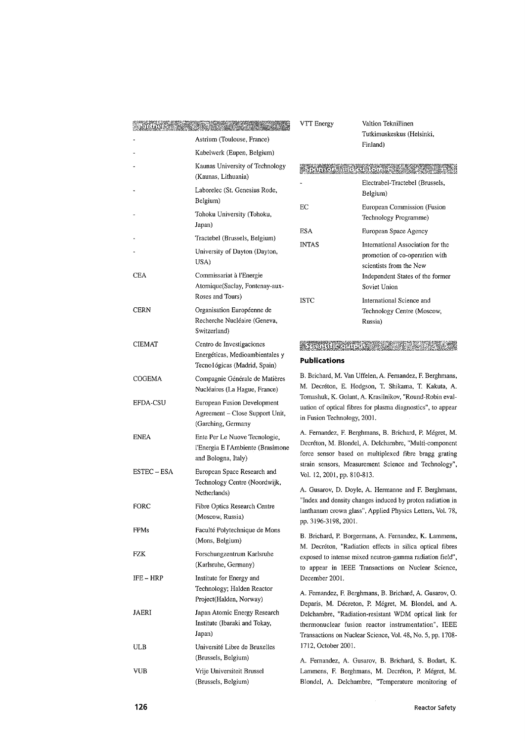|                    | <u> Kabupatén Barat,  Propinsi </u><br>Astrium (Toulouse, France)                            | VTT Energy                                                                                                                                                                                                                                                                                                                                                                                                                                                                                                                                                                                                                                                                                                                                                                                                                                                                                                                                                                                 | Valtion Teknillinen<br>Tutkimuskeskus (Helsinki,<br>Finland)                                                   |
|--------------------|----------------------------------------------------------------------------------------------|--------------------------------------------------------------------------------------------------------------------------------------------------------------------------------------------------------------------------------------------------------------------------------------------------------------------------------------------------------------------------------------------------------------------------------------------------------------------------------------------------------------------------------------------------------------------------------------------------------------------------------------------------------------------------------------------------------------------------------------------------------------------------------------------------------------------------------------------------------------------------------------------------------------------------------------------------------------------------------------------|----------------------------------------------------------------------------------------------------------------|
|                    | Kabelwerk (Eupen, Belgium)                                                                   |                                                                                                                                                                                                                                                                                                                                                                                                                                                                                                                                                                                                                                                                                                                                                                                                                                                                                                                                                                                            |                                                                                                                |
|                    | Kaunas University of Technology<br>(Kaunas, Lithuania)                                       | MARTING CONSTRUCT                                                                                                                                                                                                                                                                                                                                                                                                                                                                                                                                                                                                                                                                                                                                                                                                                                                                                                                                                                          |                                                                                                                |
|                    | Laborelec (St. Genesius Rode,<br>Belgium)                                                    |                                                                                                                                                                                                                                                                                                                                                                                                                                                                                                                                                                                                                                                                                                                                                                                                                                                                                                                                                                                            | Electrabel-Tractebel (Brussels,<br>Belgium)                                                                    |
|                    | Tohoku University (Tohoku,                                                                   | EC                                                                                                                                                                                                                                                                                                                                                                                                                                                                                                                                                                                                                                                                                                                                                                                                                                                                                                                                                                                         | European Commission (Fusion<br>Technology Programme)                                                           |
|                    | Japan)<br>Tractebel (Brussels, Belgium)                                                      | <b>ESA</b>                                                                                                                                                                                                                                                                                                                                                                                                                                                                                                                                                                                                                                                                                                                                                                                                                                                                                                                                                                                 | European Space Agency                                                                                          |
|                    | University of Dayton (Dayton,<br>USA)                                                        | <b>INTAS</b>                                                                                                                                                                                                                                                                                                                                                                                                                                                                                                                                                                                                                                                                                                                                                                                                                                                                                                                                                                               | International Association for the<br>promotion of co-operation with<br>scientists from the New                 |
| CEA                | Commissariat à l'Energie<br>Atomique(Saclay, Fontenay-aux-<br>Roses and Tours)               |                                                                                                                                                                                                                                                                                                                                                                                                                                                                                                                                                                                                                                                                                                                                                                                                                                                                                                                                                                                            | Independent States of the former<br>Soviet Union<br>International Science and                                  |
| <b>CERN</b>        | Organisation Européenne de<br>Recherche Nucléaire (Geneva,<br>Switzerland)                   | <b>ISTC</b>                                                                                                                                                                                                                                                                                                                                                                                                                                                                                                                                                                                                                                                                                                                                                                                                                                                                                                                                                                                | Technology Centre (Moscow,<br>Russia)                                                                          |
| <b>CIEMAT</b>      | Centro de Investigaciones<br>Energéticas, Medioambientales y<br>Tecnológicas (Madrid, Spain) | a tanàna ao amin'ny faritr'i Normandie, ao amin'ny faritr'i Normandie, ao amin'ny faritr'i Normandie, ao Frants<br><b>Publications</b>                                                                                                                                                                                                                                                                                                                                                                                                                                                                                                                                                                                                                                                                                                                                                                                                                                                     |                                                                                                                |
| COGEMA             | Compagnie Générale de Matières<br>Nucléaires (La Hague, France)                              | B. Brichard, M. Van Uffelen, A. Fernandez, F. Berghmans,<br>M. Decréton, E. Hodgson, T. Shikama, T. Kakuta, A.<br>Tomashuk, K. Golant, A. Krasilnikov, "Round-Robin eval-<br>uation of optical fibres for plasma diagnostics", to appear<br>in Fusion Technology, 2001.<br>A. Fernandez, F. Berghmans, B. Brichard, P. Mégret, M.<br>Decréton, M. Blondel, A. Delchambre, "Multi-component<br>force sensor based on multiplexed fibre bragg grating<br>strain sensors, Measurement Science and Technology",<br>Vol. 12, 2001, pp. 810-813.<br>A. Gusarov, D. Doyle, A. Hermanne and F. Berghmans,<br>"Index and density changes induced by proton radiation in<br>lanthanum crown glass", Applied Physics Letters, Vol. 78,<br>pp. 3196-3198, 2001.<br>B. Brichard, P. Borgermans, A. Fernandez, K. Lammens,<br>M. Decréton, "Radiation effects in silica optical fibres<br>exposed to intense mixed neutron-gamma radiation field",<br>to appear in IEEE Transactions on Nuclear Science, |                                                                                                                |
| EFDA-CSU           | European Fusion Development<br>Agreement - Close Support Unit,<br>(Garching, Germany         |                                                                                                                                                                                                                                                                                                                                                                                                                                                                                                                                                                                                                                                                                                                                                                                                                                                                                                                                                                                            |                                                                                                                |
| <b>ENEA</b>        | Ente Per Le Nuove Tecnologie,<br>l'Energia E l'Ambiente (Brasimone<br>and Bologna, Italy)    |                                                                                                                                                                                                                                                                                                                                                                                                                                                                                                                                                                                                                                                                                                                                                                                                                                                                                                                                                                                            |                                                                                                                |
| <b>ESTEC – ESA</b> | European Space Research and<br>Technology Centre (Noordwijk,<br>Netherlands)                 |                                                                                                                                                                                                                                                                                                                                                                                                                                                                                                                                                                                                                                                                                                                                                                                                                                                                                                                                                                                            |                                                                                                                |
| FORC               | Fibre Optics Research Centre<br>(Moscow, Russia)                                             |                                                                                                                                                                                                                                                                                                                                                                                                                                                                                                                                                                                                                                                                                                                                                                                                                                                                                                                                                                                            |                                                                                                                |
| <b>FPMs</b>        | Faculté Polytechnique de Mons<br>(Mons, Belgium)                                             |                                                                                                                                                                                                                                                                                                                                                                                                                                                                                                                                                                                                                                                                                                                                                                                                                                                                                                                                                                                            |                                                                                                                |
| FZK                | Forschungzentrum Karlsruhe<br>(Karlsruhe, Germany)                                           |                                                                                                                                                                                                                                                                                                                                                                                                                                                                                                                                                                                                                                                                                                                                                                                                                                                                                                                                                                                            |                                                                                                                |
| $IFE - HRP$        | Institute for Energy and<br>Technology; Halden Reactor<br>Project(Halden, Norway)            | December 2001.                                                                                                                                                                                                                                                                                                                                                                                                                                                                                                                                                                                                                                                                                                                                                                                                                                                                                                                                                                             | A. Fernandez, F. Berghmans, B. Brichard, A. Gusarov, O.<br>Deparis, M. Décreton, P. Mégret, M. Blondel, and A. |
| JAERI              | Japan Atomic Energy Research<br>Institute (Ibaraki and Tokay,<br>Japan)                      | Delchambre, "Radiation-resistant WDM optical link for<br>thermonuclear fusion reactor instrumentation", IEEE<br>Transactions on Nuclear Science, Vol. 48, No. 5, pp. 1708-<br>1712, October 2001.<br>A. Fernandez, A. Gusarov, B. Brichard, S. Bodart, K.<br>Lammens, F. Berghmans, M. Decréton, P. Mégret, M.<br>Blondel, A. Delchambre, "Temperature monitoring of                                                                                                                                                                                                                                                                                                                                                                                                                                                                                                                                                                                                                       |                                                                                                                |
| ULB                | Université Libre de Bruxelles<br>(Brussels, Belgium)                                         |                                                                                                                                                                                                                                                                                                                                                                                                                                                                                                                                                                                                                                                                                                                                                                                                                                                                                                                                                                                            |                                                                                                                |
| VUB                | Vrije Universiteit Brussel<br>(Brussels, Belgium)                                            |                                                                                                                                                                                                                                                                                                                                                                                                                                                                                                                                                                                                                                                                                                                                                                                                                                                                                                                                                                                            |                                                                                                                |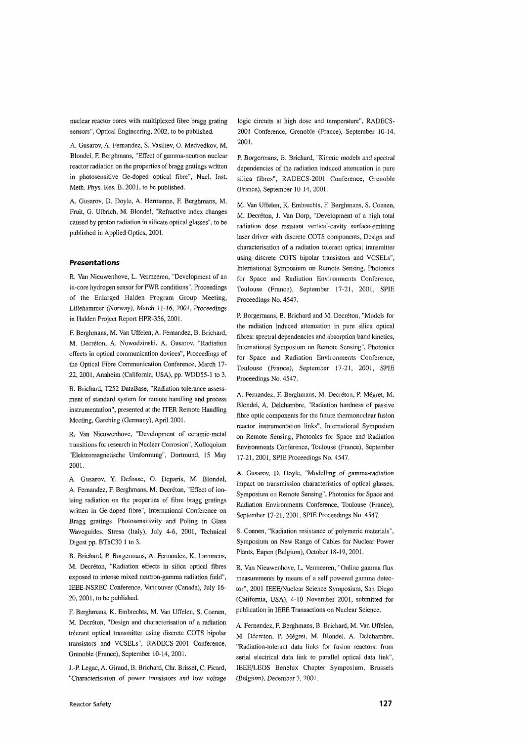nuclear reactor cores with multiplexed fibre bragg grating sensors", Optical Engineering, 2002, to be published.

A. Gusarov, A. Fernandez, S. Vasiliev, 0. Medvedkov, M. Blondel, F. Berghmans, "Effect of gamma-neutron nuclear reactor radiation on the properties of bragg gratings written in photosensitive Ge-doped optical fibre", Nucl. Inst. Meth. Phys. Res. B, 2001, to be published.

A. Gusarov, D. Doyle, A. Hermanne, F. Berghmans, M. Fruit, G. Ulbrich, M. Blondel, "Refractive index changes caused by proton radiation in silicate optical glasses", to be published in Applied Optics, 2001.

#### **Presentations**

R. Van Nieuwenhove, L. Vermeeren, "Development of an in-core hydrogen sensor forPWR conditions", Proceedings of the Enlarged Halden Program Group Meeting, Lillehammer (Norway), March *11-16,* 2001, Proceedings in Halden Project Report HPR-356, 2001.

F. Berghmans, M. Van Uffelen, A. Fernandez, B. Brichard, M. Decreton, A. Nowodzinski, A. Gusarov, "Radiation effects in optical communication devices", Proceedings of the Optical Fibre Communication Conference, March 17- 22, 2001, Anaheim (California, USA), pp. WDD55-1 to 3.

B. Brichard, T252 DataBase, "Radiation tolerance assessment of standard system for remote handling and process instrumentation", presented at the ITER Remote Handling Meeting, Garching (Germany), April 2001.

R. Van Nieuwenhove, "Development of ceramic-metal transitions for research in Nuclear Corrosion", Kolloquium "Elektromagnetische Umformung", Dortmund, 15 May 2001.

A. Gusarov, Y. Defosse, O. Deparis, M. Blondel, A. Fernandez, F. Berghmans, M. Decréton, "Effect of ionising radiation on the properties of fibre bragg gratings written in Ge-doped fibre", International Conference on Bragg gratings, Photosensitivity and Poling in Glass Waveguides, Stresa (Italy), July 4-6, 2001, Technical Digest pp. BThC30 1 to 3.

B. Brichard, P. Borgermans, A. Fernandez, K. Lammens, M. Decréton, "Radiation effects in silica optical fibres exposed to intense mixed neutron-gamma radiation field", IEEE-NSREC Conference, Vancouver (Canada), July 16- 20, 2001, to be published.

F. Berghmans, K. Embrechts, M. Van Uffelen, S. Coenen, M. Decreton, "Design and characterisation of a radiation tolerant optical transmitter using discrete COTS bipolar transistors and VCSELs", RADECS-2001 Conference, Grenoble (France), September 10-14, 2001.

J.-P. Legac, A. Giraud, B. Brichard, Chr. Brisset, C. Picard, "Characterisation of power transistors and low voltage

logic circuits at high dose and temperature", RADECS-2001 Conference, Grenoble (France), September 10-14, 2001.

P. Borgermans, B. Brichard, "Kinetic models and spectral dependencies of the radiation induced attenuation in pure silica fibres", RADECS-2001 Conference, Grenoble (France), September 10-14, 2001.

M. Van Uffelen, K. Embrechts, F. Berghmans, S. Coenen, M. Decréton, J. Van Dorp, "Development of a high total radiation dose resistant vertical-cavity surface-emitting laser driver with discrete COTS components, Design and characterisation of a radiation tolerant optical transmitter using discrete COTS bipolar transistors and VCSELs", International Symposium on Remote Sensing, Photonics for Space and Radiation Environments Conference, Toulouse (France), September 17-21, 2001, SPIE Proceedings No. 4547.

P. Borgermans, B. Brichard and M. Decréton, "Models for the radiation induced attenuation in pure silica optical fibres: spectral dependencies and absorption band kinetics, International Symposium on Remote Sensing", Photonics for Space and Radiation Environments Conference, Toulouse (France), September 17-21, 2001, SPIE Proceedings No. 4547.

A. Fernandez, F. Berghmans, M. Decréton, P. Mégret, M. Blondel, A. Delchambre, "Radiation hardness of passive fibre optic components for the future thermonuclear fusion reactor instrumentation links", International Symposium on Remote Sensing, Photonics for Space and Radiation Environments Conference, Toulouse (France), September 17-21, 2001, SPIE Proceedings No. 4547.

A. Gusarov, D. Doyle, "Modelling of gamma-radiation impact on transmission characteristics of optical glasses, Symposium on Remote Sensing", Photonics for Space and Radiation Environments Conference, Toulouse (France), September 17-21, 2001, SPIE Proceedings No. 4547.

S. Coenen, "Radiation resistance of polymeric materials", Symposium on New Range of Cables for Nuclear Power Plants, Eupen (Belgium), October 18-19, 2001.

R. Van Nieuwenhove, L. Vermeeren, "Online gamma flux measurements by means of a self powered gamma detector", 2001 IEEE/Nuclear Science Symposium, San Diego (California, USA), 4-10 November 2001, submitted for publication in IEEE Transactions on Nuclear Science.

A. Fernandez, F. Berghmans, B. Brichard, M. Van Uffelen, M. Décreton, P. Mégret, M. Blondel, A. Delchambre, "Radiation-tolerant data links for fusion reactors: from serial electrical data link to parallel optical data link", IEEE/LEOS Benelux Chapter Symposium, Brussels (Belgium), December 3, 2001.